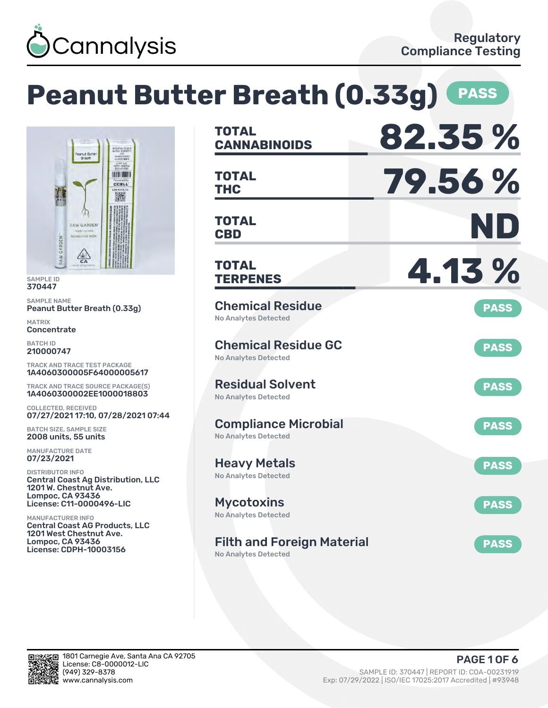

# **Peanut Butter Breath (0.33g) PASS**



SAMPLE ID 370447

SAMPLE NAME Peanut Butter Breath (0.33g)

MATRIX **Concentrate** 

BATCH ID 210000747

TRACK AND TRACE TEST PACKAGE 1A4060300005F64000005617

TRACK AND TRACE SOURCE PACKAGE(S) 1A4060300002EE1000018803

COLLECTED, RECEIVED 07/27/2021 17:10, 07/28/2021 07:44

BATCH SIZE, SAMPLE SIZE 2008 units, 55 units

MANUFACTURE DATE 07/23/2021

DISTRIBUTOR INFO Central Coast Ag Distribution, LLC 1201 W. Chestnut Ave. Lompoc, CA 93436 License: C11-0000496-LIC

MANUFACTURER INFO Central Coast AG Products, LLC 1201 West Chestnut Ave. Lompoc, CA 93436 License: CDPH-10003156

| <b>TOTAL</b><br><b>CANNABINOIDS</b>                              | 82.35%      |
|------------------------------------------------------------------|-------------|
| <b>TOTAL</b><br>THC                                              | 79.56%      |
| <b>TOTAL</b><br><b>CBD</b>                                       | ND          |
| <b>TOTAL</b><br><b>TERPENES</b>                                  | 4.13 %      |
| <b>Chemical Residue</b><br><b>No Analytes Detected</b>           | <b>PASS</b> |
| <b>Chemical Residue GC</b><br><b>No Analytes Detected</b>        | <b>PASS</b> |
| <b>Residual Solvent</b><br>No Analytes Detected                  | <b>PASS</b> |
| <b>Compliance Microbial</b><br><b>No Analytes Detected</b>       | <b>PASS</b> |
| <b>Heavy Metals</b><br><b>No Analytes Detected</b>               | <b>PASS</b> |
| <b>Mycotoxins</b><br>No Analytes Detected                        | <b>PASS</b> |
| <b>Filth and Foreign Material</b><br><b>No Analytes Detected</b> | <b>PASS</b> |

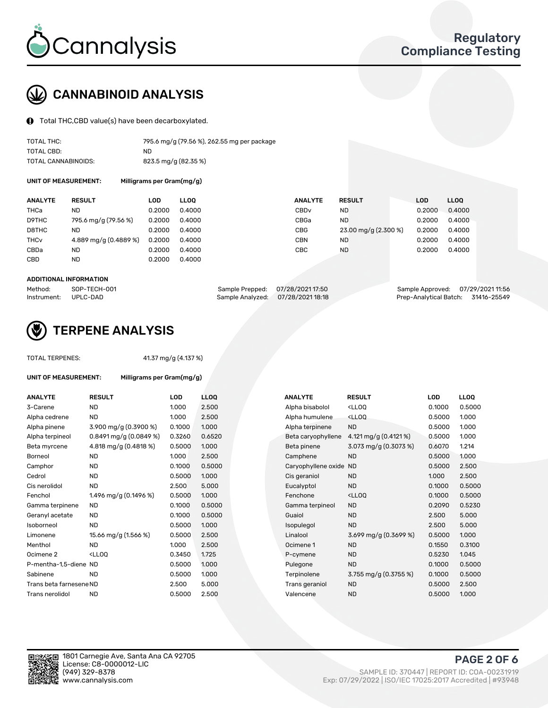

# CANNABINOID ANALYSIS

Total THC,CBD value(s) have been decarboxylated.

| TOTAL THC:          | 795.6 mg/g (79.56 %), 262.55 mg per package |
|---------------------|---------------------------------------------|
| TOTAL CBD:          | ND.                                         |
| TOTAL CANNABINOIDS: | 823.5 mg/g (82.35 %)                        |

UNIT OF MEASUREMENT: Milligrams per Gram(mg/g)

| <b>ANALYTE</b>         | <b>RESULT</b>         | LOD    | <b>LLOO</b> | <b>ANALYTE</b>   | <b>RESULT</b>        | LOD    | <b>LLOO</b> |
|------------------------|-----------------------|--------|-------------|------------------|----------------------|--------|-------------|
| THCa                   | <b>ND</b>             | 0.2000 | 0.4000      | CBD <sub>v</sub> | ND.                  | 0.2000 | 0.4000      |
| D9THC                  | 795.6 mg/g (79.56 %)  | 0.2000 | 0.4000      | CBGa             | <b>ND</b>            | 0.2000 | 0.4000      |
| D8THC                  | <b>ND</b>             | 0.2000 | 0.4000      | <b>CBG</b>       | 23.00 mg/g (2.300 %) | 0.2000 | 0.4000      |
| <b>THC<sub>v</sub></b> | 4.889 mg/g (0.4889 %) | 0.2000 | 0.4000      | <b>CBN</b>       | ND.                  | 0.2000 | 0.4000      |
| CBDa                   | ND                    | 0.2000 | 0.4000      | CBC              | <b>ND</b>            | 0.2000 | 0.4000      |
| CBD                    | <b>ND</b>             | 0.2000 | 0.4000      |                  |                      |        |             |

#### ADDITIONAL INFORMATION

| Method:              | SOP-TECH-001 | Sample Prepped: 07/28/2021 17:50  | Sample Approved: 07/29/2021 11:56  |  |
|----------------------|--------------|-----------------------------------|------------------------------------|--|
| Instrument: UPLC-DAD |              | Sample Analyzed: 07/28/2021 18:18 | Prep-Analytical Batch: 31416-25549 |  |



## TERPENE ANALYSIS

TOTAL TERPENES: 41.37 mg/g (4.137 %)

| UNIT OF MEASUREMENT:    | Milligrams per Gram(mg/g)                                                                                          |            |             |                        |                                                    |        |       |
|-------------------------|--------------------------------------------------------------------------------------------------------------------|------------|-------------|------------------------|----------------------------------------------------|--------|-------|
| <b>ANALYTE</b>          | <b>RESULT</b>                                                                                                      | <b>LOD</b> | <b>LLOO</b> | <b>ANALYTE</b>         | <b>RESULT</b>                                      | LOD    | LLOQ  |
| 3-Carene                | <b>ND</b>                                                                                                          | 1.000      | 2.500       | Alpha bisabolol        | <ll0q< td=""><td>0.1000</td><td>0.500</td></ll0q<> | 0.1000 | 0.500 |
| Alpha cedrene           | <b>ND</b>                                                                                                          | 1.000      | 2.500       | Alpha humulene         | <lloq< td=""><td>0.5000</td><td>1.000</td></lloq<> | 0.5000 | 1.000 |
| Alpha pinene            | 3.900 mg/g (0.3900 %)                                                                                              | 0.1000     | 1.000       | Alpha terpinene        | <b>ND</b>                                          | 0.5000 | 1.000 |
| Alpha terpineol         | $0.8491$ mg/g $(0.0849%)$                                                                                          | 0.3260     | 0.6520      | Beta caryophyllene     | 4.121 mg/g $(0.4121\%)$                            | 0.5000 | 1.000 |
| Beta myrcene            | 4.818 mg/g (0.4818 %)                                                                                              | 0.5000     | 1.000       | Beta pinene            | 3.073 mg/g (0.3073 %)                              | 0.6070 | 1.214 |
| <b>Borneol</b>          | <b>ND</b>                                                                                                          | 1.000      | 2.500       | Camphene               | <b>ND</b>                                          | 0.5000 | 1.000 |
| Camphor                 | <b>ND</b>                                                                                                          | 0.1000     | 0.5000      | Caryophyllene oxide ND |                                                    | 0.5000 | 2.500 |
| Cedrol                  | <b>ND</b>                                                                                                          | 0.5000     | 1.000       | Cis geraniol           | <b>ND</b>                                          | 1.000  | 2.500 |
| Cis nerolidol           | ND.                                                                                                                | 2.500      | 5.000       | Eucalyptol             | <b>ND</b>                                          | 0.1000 | 0.500 |
| Fenchol                 | 1.496 mg/g (0.1496 %)                                                                                              | 0.5000     | 1.000       | Fenchone               | <ll0q< td=""><td>0.1000</td><td>0.500</td></ll0q<> | 0.1000 | 0.500 |
| Gamma terpinene         | <b>ND</b>                                                                                                          | 0.1000     | 0.5000      | Gamma terpineol        | <b>ND</b>                                          | 0.2090 | 0.523 |
| Geranyl acetate         | <b>ND</b>                                                                                                          | 0.1000     | 0.5000      | Guaiol                 | <b>ND</b>                                          | 2.500  | 5.000 |
| Isoborneol              | <b>ND</b>                                                                                                          | 0.5000     | 1.000       | Isopulegol             | <b>ND</b>                                          | 2.500  | 5.000 |
| Limonene                | 15.66 mg/g (1.566 %)                                                                                               | 0.5000     | 2.500       | Linalool               | 3.699 mg/g $(0.3699\%)$                            | 0.5000 | 1.000 |
| Menthol                 | <b>ND</b>                                                                                                          | 1.000      | 2.500       | Ocimene 1              | <b>ND</b>                                          | 0.1550 | 0.310 |
| Ocimene <sub>2</sub>    | <ll00< td=""><td>0.3450</td><td>1.725</td><td>P-cymene</td><td><b>ND</b></td><td>0.5230</td><td>1.045</td></ll00<> | 0.3450     | 1.725       | P-cymene               | <b>ND</b>                                          | 0.5230 | 1.045 |
| P-mentha-1.5-diene ND   |                                                                                                                    | 0.5000     | 1.000       | Pulegone               | <b>ND</b>                                          | 0.1000 | 0.500 |
| Sabinene                | <b>ND</b>                                                                                                          | 0.5000     | 1.000       | Terpinolene            | 3.755 mg/g $(0.3755\%)$                            | 0.1000 | 0.500 |
| Trans beta farnesene ND |                                                                                                                    | 2.500      | 5.000       | Trans geraniol         | <b>ND</b>                                          | 0.5000 | 2.500 |
| Trans nerolidol         | <b>ND</b>                                                                                                          | 0.5000     | 2.500       | Valencene              | <b>ND</b>                                          | 0.5000 | 1.000 |

| ANALYTE                 | <b>RESULT</b>                                                                                                      | <b>LOD</b> | <b>LLOQ</b> | <b>ANALYTE</b>      | <b>RESULT</b>                                       | <b>LOD</b> | <b>LLOQ</b> |
|-------------------------|--------------------------------------------------------------------------------------------------------------------|------------|-------------|---------------------|-----------------------------------------------------|------------|-------------|
| 3-Carene                | <b>ND</b>                                                                                                          | 1.000      | 2.500       | Alpha bisabolol     | <lloq< td=""><td>0.1000</td><td>0.5000</td></lloq<> | 0.1000     | 0.5000      |
| Alpha cedrene           | <b>ND</b>                                                                                                          | 1.000      | 2.500       | Alpha humulene      | <lloq< td=""><td>0.5000</td><td>1.000</td></lloq<>  | 0.5000     | 1.000       |
| Alpha pinene            | 3.900 mg/g (0.3900 %)                                                                                              | 0.1000     | 1.000       | Alpha terpinene     | <b>ND</b>                                           | 0.5000     | 1.000       |
| Alpha terpineol         | $0.8491$ mg/g $(0.0849%)$                                                                                          | 0.3260     | 0.6520      | Beta caryophyllene  | 4.121 mg/g (0.4121 %)                               | 0.5000     | 1.000       |
| Beta myrcene            | 4.818 mg/g (0.4818 %)                                                                                              | 0.5000     | 1.000       | Beta pinene         | 3.073 mg/g $(0.3073\%)$                             | 0.6070     | 1.214       |
| Borneol                 | <b>ND</b>                                                                                                          | 1.000      | 2.500       | Camphene            | <b>ND</b>                                           | 0.5000     | 1.000       |
| Camphor                 | <b>ND</b>                                                                                                          | 0.1000     | 0.5000      | Caryophyllene oxide | <b>ND</b>                                           | 0.5000     | 2.500       |
| Cedrol                  | <b>ND</b>                                                                                                          | 0.5000     | 1.000       | Cis geraniol        | <b>ND</b>                                           | 1.000      | 2.500       |
| Cis nerolidol           | <b>ND</b>                                                                                                          | 2.500      | 5.000       | Eucalyptol          | <b>ND</b>                                           | 0.1000     | 0.5000      |
| Fenchol                 | 1.496 mg/g $(0.1496\%)$                                                                                            | 0.5000     | 1.000       | Fenchone            | <lloq< td=""><td>0.1000</td><td>0.5000</td></lloq<> | 0.1000     | 0.5000      |
| Gamma terpinene         | <b>ND</b>                                                                                                          | 0.1000     | 0.5000      | Gamma terpineol     | <b>ND</b>                                           | 0.2090     | 0.5230      |
| Geranyl acetate         | ND                                                                                                                 | 0.1000     | 0.5000      | Guaiol              | <b>ND</b>                                           | 2.500      | 5.000       |
| Isoborneol              | <b>ND</b>                                                                                                          | 0.5000     | 1.000       | Isopulegol          | <b>ND</b>                                           | 2.500      | 5.000       |
| Limonene                | 15.66 mg/g (1.566 %)                                                                                               | 0.5000     | 2.500       | Linalool            | 3.699 mg/g $(0.3699\%)$                             | 0.5000     | 1.000       |
| Menthol                 | <b>ND</b>                                                                                                          | 1.000      | 2.500       | Ocimene 1           | <b>ND</b>                                           | 0.1550     | 0.3100      |
| Ocimene 2               | <lloq< td=""><td>0.3450</td><td>1.725</td><td>P-cymene</td><td><b>ND</b></td><td>0.5230</td><td>1.045</td></lloq<> | 0.3450     | 1.725       | P-cymene            | <b>ND</b>                                           | 0.5230     | 1.045       |
| P-mentha-1,5-diene ND   |                                                                                                                    | 0.5000     | 1.000       | Pulegone            | <b>ND</b>                                           | 0.1000     | 0.5000      |
| Sabinene                | <b>ND</b>                                                                                                          | 0.5000     | 1.000       | Terpinolene         | 3.755 mg/g $(0.3755\%)$                             | 0.1000     | 0.5000      |
| Trans beta farnesene ND |                                                                                                                    | 2.500      | 5.000       | Trans geraniol      | <b>ND</b>                                           | 0.5000     | 2.500       |
| Trans nerolidol         | <b>ND</b>                                                                                                          | 0.5000     | 2.500       | Valencene           | <b>ND</b>                                           | 0.5000     | 1.000       |



PAGE 2 OF 6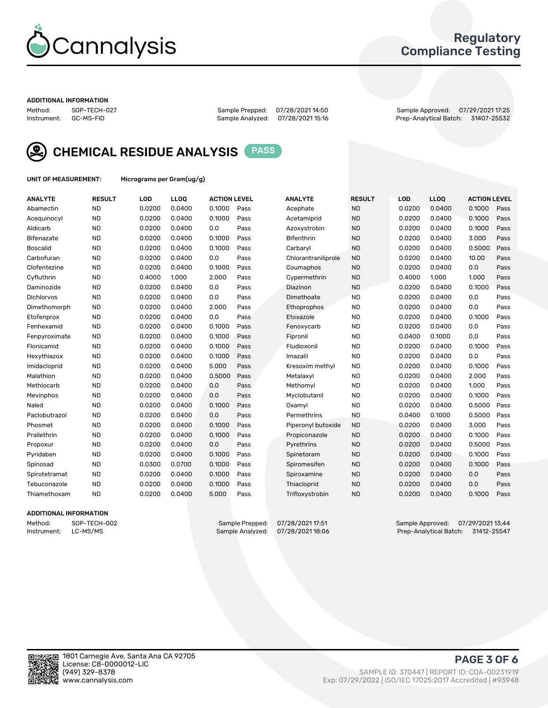

## Regulatory Compliance Testing

#### ADDITIONAL INFORMATION

Method: SOP-TECH-027 Sample Prepped: 07/28/2021 14:50 Sample Approved: 07/29/2021 17:25 Prep-Analytical Batch: 31407-25532



CHEMICAL RESIDUE ANALYSIS PASS

UNIT OF MEASUREMENT: Micrograms per Gram(ug/g)

| <b>ANALYTE</b>    | <b>RESULT</b> | LOD    | LL <sub>OO</sub> | <b>ACTION LEVEL</b> |      | <b>ANALYTE</b>      | <b>RESULT</b> | LOD    | <b>LLOQ</b> | <b>ACTION LEVEL</b> |      |
|-------------------|---------------|--------|------------------|---------------------|------|---------------------|---------------|--------|-------------|---------------------|------|
| Abamectin         | <b>ND</b>     | 0.0200 | 0.0400           | 0.1000              | Pass | Acephate            | <b>ND</b>     | 0.0200 | 0.0400      | 0.1000              | Pass |
| Acequinocyl       | <b>ND</b>     | 0.0200 | 0.0400           | 0.1000              | Pass | Acetamiprid         | <b>ND</b>     | 0.0200 | 0.0400      | 0.1000              | Pass |
| Aldicarb          | <b>ND</b>     | 0.0200 | 0.0400           | 0.0                 | Pass | Azoxystrobin        | <b>ND</b>     | 0.0200 | 0.0400      | 0.1000              | Pass |
| Bifenazate        | <b>ND</b>     | 0.0200 | 0.0400           | 0.1000              | Pass | <b>Bifenthrin</b>   | <b>ND</b>     | 0.0200 | 0.0400      | 3.000               | Pass |
| <b>Boscalid</b>   | <b>ND</b>     | 0.0200 | 0.0400           | 0.1000              | Pass | Carbaryl            | <b>ND</b>     | 0.0200 | 0.0400      | 0.5000              | Pass |
| Carbofuran        | <b>ND</b>     | 0.0200 | 0.0400           | 0.0                 | Pass | Chlorantraniliprole | <b>ND</b>     | 0.0200 | 0.0400      | 10.00               | Pass |
| Clofentezine      | <b>ND</b>     | 0.0200 | 0.0400           | 0.1000              | Pass | Coumaphos           | <b>ND</b>     | 0.0200 | 0.0400      | 0.0                 | Pass |
| Cyfluthrin        | <b>ND</b>     | 0.4000 | 1.000            | 2.000               | Pass | Cypermethrin        | <b>ND</b>     | 0.4000 | 1.000       | 1.000               | Pass |
| Daminozide        | <b>ND</b>     | 0.0200 | 0.0400           | 0.0                 | Pass | Diazinon            | <b>ND</b>     | 0.0200 | 0.0400      | 0.1000              | Pass |
| <b>Dichlorvos</b> | <b>ND</b>     | 0.0200 | 0.0400           | 0.0                 | Pass | Dimethoate          | <b>ND</b>     | 0.0200 | 0.0400      | 0.0                 | Pass |
| Dimethomorph      | <b>ND</b>     | 0.0200 | 0.0400           | 2.000               | Pass | Ethoprophos         | <b>ND</b>     | 0.0200 | 0.0400      | 0.0                 | Pass |
| Etofenprox        | <b>ND</b>     | 0.0200 | 0.0400           | 0.0                 | Pass | Etoxazole           | <b>ND</b>     | 0.0200 | 0.0400      | 0.1000              | Pass |
| Fenhexamid        | <b>ND</b>     | 0.0200 | 0.0400           | 0.1000              | Pass | Fenoxycarb          | <b>ND</b>     | 0.0200 | 0.0400      | 0.0                 | Pass |
| Fenpyroximate     | <b>ND</b>     | 0.0200 | 0.0400           | 0.1000              | Pass | Fipronil            | <b>ND</b>     | 0.0400 | 0.1000      | 0.0                 | Pass |
| Flonicamid        | <b>ND</b>     | 0.0200 | 0.0400           | 0.1000              | Pass | Fludioxonil         | <b>ND</b>     | 0.0200 | 0.0400      | 0.1000              | Pass |
| Hexythiazox       | <b>ND</b>     | 0.0200 | 0.0400           | 0.1000              | Pass | Imazalil            | <b>ND</b>     | 0.0200 | 0.0400      | 0.0                 | Pass |
| Imidacloprid      | <b>ND</b>     | 0.0200 | 0.0400           | 5.000               | Pass | Kresoxim methyl     | <b>ND</b>     | 0.0200 | 0.0400      | 0.1000              | Pass |
| Malathion         | <b>ND</b>     | 0.0200 | 0.0400           | 0.5000              | Pass | Metalaxyl           | <b>ND</b>     | 0.0200 | 0.0400      | 2.000               | Pass |
| Methiocarb        | <b>ND</b>     | 0.0200 | 0.0400           | 0.0                 | Pass | Methomyl            | <b>ND</b>     | 0.0200 | 0.0400      | 1.000               | Pass |
| Mevinphos         | <b>ND</b>     | 0.0200 | 0.0400           | 0.0                 | Pass | Myclobutanil        | <b>ND</b>     | 0.0200 | 0.0400      | 0.1000              | Pass |
| Naled             | <b>ND</b>     | 0.0200 | 0.0400           | 0.1000              | Pass | Oxamyl              | <b>ND</b>     | 0.0200 | 0.0400      | 0.5000              | Pass |
| Paclobutrazol     | <b>ND</b>     | 0.0200 | 0.0400           | 0.0                 | Pass | Permethrins         | <b>ND</b>     | 0.0400 | 0.1000      | 0.5000              | Pass |
| Phosmet           | <b>ND</b>     | 0.0200 | 0.0400           | 0.1000              | Pass | Piperonyl butoxide  | <b>ND</b>     | 0.0200 | 0.0400      | 3.000               | Pass |
| Prallethrin       | <b>ND</b>     | 0.0200 | 0.0400           | 0.1000              | Pass | Propiconazole       | <b>ND</b>     | 0.0200 | 0.0400      | 0.1000              | Pass |
| Propoxur          | <b>ND</b>     | 0.0200 | 0.0400           | 0.0                 | Pass | Pyrethrins          | <b>ND</b>     | 0.0200 | 0.0400      | 0.5000              | Pass |
| Pyridaben         | <b>ND</b>     | 0.0200 | 0.0400           | 0.1000              | Pass | Spinetoram          | <b>ND</b>     | 0.0200 | 0.0400      | 0.1000              | Pass |
| Spinosad          | <b>ND</b>     | 0.0300 | 0.0700           | 0.1000              | Pass | Spiromesifen        | <b>ND</b>     | 0.0200 | 0.0400      | 0.1000              | Pass |
| Spirotetramat     | <b>ND</b>     | 0.0200 | 0.0400           | 0.1000              | Pass | Spiroxamine         | <b>ND</b>     | 0.0200 | 0.0400      | 0.0                 | Pass |
| Tebuconazole      | <b>ND</b>     | 0.0200 | 0.0400           | 0.1000              | Pass | Thiacloprid         | <b>ND</b>     | 0.0200 | 0.0400      | 0.0                 | Pass |
| Thiamethoxam      | <b>ND</b>     | 0.0200 | 0.0400           | 5.000               | Pass | Trifloxystrobin     | <b>ND</b>     | 0.0200 | 0.0400      | 0.1000              | Pass |
|                   |               |        |                  |                     |      |                     |               |        |             |                     |      |

#### ADDITIONAL INFORMATION

Method: SOP-TECH-002 Sample Prepped: 07/28/2021 17:51 Sample Approved: 07/29/2021 13:44<br>Instrument: LC-MS/MS Sample Analyzed: 07/28/2021 18:06 Prep-Analytical Batch: 31412-25547 Prep-Analytical Batch: 31412-25547

PAGE 3 OF 6

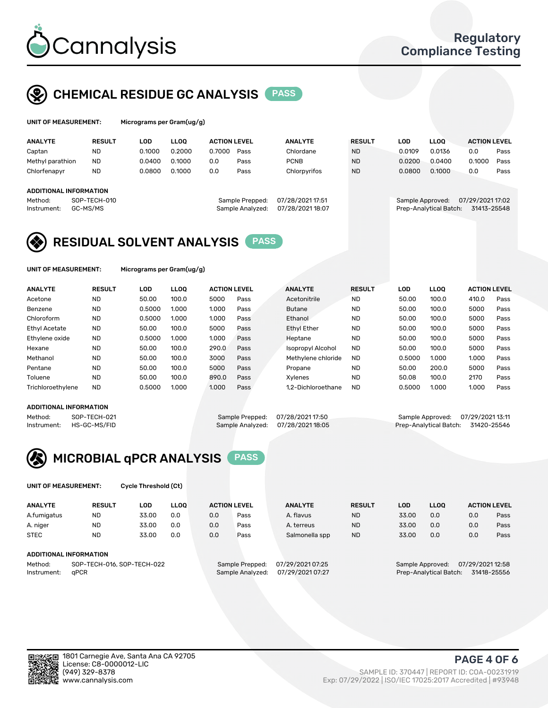

## CHEMICAL RESIDUE GC ANALYSIS PASS

| UNIT OF MEASUREMENT: | Microgram |
|----------------------|-----------|
|                      |           |

ns per Gram(ug/g)

| <b>ANALYTE</b>                | <b>RESULT</b> | LOD    | <b>LLOO</b> | <b>ACTION LEVEL</b> |                  | <b>ANALYTE</b>   | <b>RESULT</b> | LOD              | <b>LLOO</b>            | <b>ACTION LEVEL</b> |      |
|-------------------------------|---------------|--------|-------------|---------------------|------------------|------------------|---------------|------------------|------------------------|---------------------|------|
| Captan                        | <b>ND</b>     | 0.1000 | 0.2000      | 0.7000              | Pass             | Chlordane        | <b>ND</b>     | 0.0109           | 0.0136                 | 0.0                 | Pass |
| Methyl parathion              | <b>ND</b>     | 0.0400 | 0.1000      | 0.0                 | Pass             | <b>PCNB</b>      | <b>ND</b>     | 0.0200           | 0.0400                 | 0.1000              | Pass |
| Chlorfenapyr                  | <b>ND</b>     | 0.0800 | 0.1000      | 0.0                 | Pass             | Chlorpyrifos     | <b>ND</b>     | 0.0800           | 0.1000                 | 0.0                 | Pass |
|                               |               |        |             |                     |                  |                  |               |                  |                        |                     |      |
| <b>ADDITIONAL INFORMATION</b> |               |        |             |                     |                  |                  |               |                  |                        |                     |      |
| Method:                       | SOP-TECH-010  |        |             |                     | Sample Prepped:  | 07/28/2021 17:51 |               | Sample Approved: |                        | 07/29/2021 17:02    |      |
| Instrument:                   | GC-MS/MS      |        |             |                     | Sample Analyzed: | 07/28/202118:07  |               |                  | Prep-Analytical Batch: | 31413-25548         |      |
|                               |               |        |             |                     |                  |                  |               |                  |                        |                     |      |

## RESIDUAL SOLVENT ANALYSIS PASS

UNIT OF MEASUREMENT: Micrograms per Gram(ug/g)

| <b>ANALYTE</b>       | <b>RESULT</b> | LOD    | <b>LLOO</b> | <b>ACTION LEVEL</b> |      | <b>ANALYTE</b>           | <b>RESULT</b> | LOD    | LLOO  | <b>ACTION LEVEL</b> |      |
|----------------------|---------------|--------|-------------|---------------------|------|--------------------------|---------------|--------|-------|---------------------|------|
| Acetone              | <b>ND</b>     | 50.00  | 100.0       | 5000                | Pass | Acetonitrile             | <b>ND</b>     | 50.00  | 100.0 | 410.0               | Pass |
| Benzene              | <b>ND</b>     | 0.5000 | 1.000       | 1.000               | Pass | <b>Butane</b>            | <b>ND</b>     | 50.00  | 100.0 | 5000                | Pass |
| Chloroform           | <b>ND</b>     | 0.5000 | 1.000       | 1.000               | Pass | Ethanol                  | <b>ND</b>     | 50.00  | 100.0 | 5000                | Pass |
| <b>Ethyl Acetate</b> | <b>ND</b>     | 50.00  | 100.0       | 5000                | Pass | <b>Ethyl Ether</b>       | <b>ND</b>     | 50.00  | 100.0 | 5000                | Pass |
| Ethylene oxide       | <b>ND</b>     | 0.5000 | 1.000       | 1.000               | Pass | Heptane                  | <b>ND</b>     | 50.00  | 100.0 | 5000                | Pass |
| Hexane               | <b>ND</b>     | 50.00  | 100.0       | 290.0               | Pass | <b>Isopropyl Alcohol</b> | <b>ND</b>     | 50.00  | 100.0 | 5000                | Pass |
| Methanol             | <b>ND</b>     | 50.00  | 100.0       | 3000                | Pass | Methylene chloride       | <b>ND</b>     | 0.5000 | 1.000 | 1.000               | Pass |
| Pentane              | <b>ND</b>     | 50.00  | 100.0       | 5000                | Pass | Propane                  | <b>ND</b>     | 50.00  | 200.0 | 5000                | Pass |
| Toluene              | <b>ND</b>     | 50.00  | 100.0       | 890.0               | Pass | Xvlenes                  | <b>ND</b>     | 50.08  | 100.0 | 2170                | Pass |
| Trichloroethylene    | <b>ND</b>     | 0.5000 | 1.000       | 1.000               | Pass | 1.2-Dichloroethane       | <b>ND</b>     | 0.5000 | 1.000 | 1.000               | Pass |

#### ADDITIONAL INFORMATION

Method: SOP-TECH-021 Sample Prepped: 07/28/202117:50 Sample Approved: 07/29/202113:11<br>Instrument: HS-GC-MS/FID Sample Analyzed: 07/28/202118:05 Prep-Analytical Batch: 31420-25546 Prep-Analytical Batch: 31420-25546



UNIT OF MEASUREMENT: Cycle Threshold (Ct)

| <b>ANALYTE</b>         | <b>RESULT</b>               | LOD   | <b>LLOO</b> | <b>ACTION LEVEL</b> |                  | <b>ANALYTE</b> | <b>RESULT</b> | LOD                | <b>LLOO</b>     |     | <b>ACTION LEVEL</b> |
|------------------------|-----------------------------|-------|-------------|---------------------|------------------|----------------|---------------|--------------------|-----------------|-----|---------------------|
| A.fumigatus            | <b>ND</b>                   | 33.00 | 0.0         | 0.0                 | Pass             | A. flavus      | <b>ND</b>     | 33.00              | 0.0             | 0.0 | Pass                |
| A. niger               | <b>ND</b>                   | 33.00 | 0.0         | 0.0                 | Pass             | A. terreus     | <b>ND</b>     | 33.00              | 0.0             | 0.0 | Pass                |
| <b>STEC</b>            | <b>ND</b>                   | 33.00 | 0.0         | 0.0                 | Pass             | Salmonella spp | <b>ND</b>     | 33.00              | 0.0             | 0.0 | Pass                |
| ADDITIONAL INFORMATION |                             |       |             |                     |                  |                |               |                    |                 |     |                     |
| $M = H = H$            | COD TEQUIO AL COD TEQUIO 20 |       |             | Comple Despond.     | 07/00/0001 07.0E |                |               | Consele Annualized | 07/00/000449.50 |     |                     |

Method: SOP-TECH-016, SOP-TECH-022 Sample Prepped: 07/29/2021 07:2 Instrument: qPCR Sample Analyzed: 07/29/2021 07:27 Prep-Analytical Batch: 31418-25556

PAGE 4 OF 6

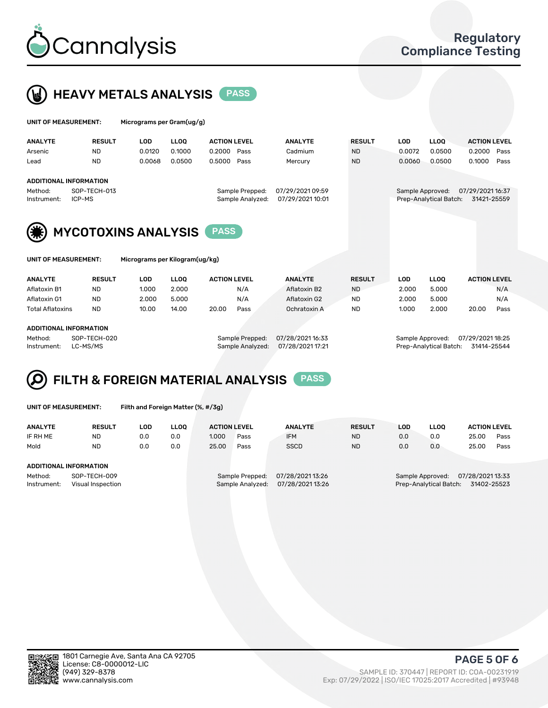



| UNIT OF MEASUREMENT:   |                               | Micrograms per Gram(ug/g) |             |                     |                                     |                                      |               |            |                                            |                                 |      |
|------------------------|-------------------------------|---------------------------|-------------|---------------------|-------------------------------------|--------------------------------------|---------------|------------|--------------------------------------------|---------------------------------|------|
| <b>ANALYTE</b>         | <b>RESULT</b>                 | <b>LOD</b>                | <b>LLOO</b> | <b>ACTION LEVEL</b> |                                     | <b>ANALYTE</b>                       | <b>RESULT</b> | <b>LOD</b> | <b>LLOO</b>                                | <b>ACTION LEVEL</b>             |      |
| Arsenic                | <b>ND</b>                     | 0.0120                    | 0.1000      | 0.2000              | Pass                                | Cadmium                              | <b>ND</b>     | 0.0072     | 0.0500                                     | 0.2000                          | Pass |
| Lead                   | <b>ND</b>                     | 0.0068                    | 0.0500      | 0.5000              | Pass                                | Mercury                              | <b>ND</b>     | 0.0060     | 0.0500                                     | 0.1000                          | Pass |
|                        | <b>ADDITIONAL INFORMATION</b> |                           |             |                     |                                     |                                      |               |            |                                            |                                 |      |
| Method:<br>Instrument: | SOP-TECH-013<br>ICP-MS        |                           |             |                     | Sample Prepped:<br>Sample Analyzed: | 07/29/2021 09:59<br>07/29/2021 10:01 |               |            | Sample Approved:<br>Prep-Analytical Batch: | 07/29/2021 16:37<br>31421-25559 |      |
| (类)                    | <b>MYCOTOXINS ANALYSIS</b>    |                           |             | <b>PASS</b>         |                                     |                                      |               |            |                                            |                                 |      |

| ANALYTE          |               |       |             |                     |      |                |               |       |             |                     |      |
|------------------|---------------|-------|-------------|---------------------|------|----------------|---------------|-------|-------------|---------------------|------|
|                  | <b>RESULT</b> | LOD   | <b>LLOO</b> | <b>ACTION LEVEL</b> |      | <b>ANALYTE</b> | <b>RESULT</b> | LOD   | <b>LLOO</b> | <b>ACTION LEVEL</b> |      |
| Aflatoxin B1     | <b>ND</b>     | 1.000 | 2.000       |                     | N/A  | Aflatoxin B2   | <b>ND</b>     | 2.000 | 5.000       |                     | N/A  |
| Aflatoxin G1     | <b>ND</b>     | 2.000 | 5.000       |                     | N/A  | Aflatoxin G2   | <b>ND</b>     | 2.000 | 5.000       |                     | N/A  |
| Total Aflatoxins | <b>ND</b>     | 10.00 | 14.00       | 20.00               | Pass | Ochratoxin A   | <b>ND</b>     | 1.000 | 2.000       | 20.00               | Pass |
|                  |               |       |             |                     |      |                |               |       |             |                     |      |

#### ADDITIONAL INFORMATION

Method: SOP-TECH-020 Sample Prepped: 07/28/2021 16:33 Sample Approved: 07/29/2021 18:25 Instrument: LC-MS/MS Sample Analyzed: 07/28/2021 17:21 Prep-Analytical Batch: 31414-25544

UNIT OF MEASUREMENT: Micrograms per Kilogram(ug/kg)

FILTH & FOREIGN MATERIAL ANALYSIS PASS

UNIT OF MEASUREMENT: Filth and Foreign Matter (%, #/3g)

| <b>ANALYTE</b>                                              | <b>RESULT</b> | LOD | <b>LLOO</b> | <b>ACTION LEVEL</b>                 |                                    | <b>ANALYTE</b>                                                                | <b>RESULT</b> | <b>LOD</b> | <b>LLOO</b> | <b>ACTION LEVEL</b> |      |
|-------------------------------------------------------------|---------------|-----|-------------|-------------------------------------|------------------------------------|-------------------------------------------------------------------------------|---------------|------------|-------------|---------------------|------|
| IF RH ME                                                    | <b>ND</b>     | 0.0 | 0.0         | 1.000                               | Pass                               | <b>IFM</b>                                                                    | <b>ND</b>     | 0.0        | 0.0         | 25.00               | Pass |
| Mold                                                        | <b>ND</b>     | 0.0 | 0.0         | 25.00                               | Pass                               | <b>SSCD</b>                                                                   | <b>ND</b>     | 0.0        | 0.0         | 25.00               | Pass |
| ADDITIONAL INFORMATION                                      |               |     |             |                                     |                                    |                                                                               |               |            |             |                     |      |
| Method:<br>SOP-TECH-009<br>Instrument:<br>Visual Inspection |               |     |             | Sample Prepped:<br>Sample Analyzed: | 07/28/202113:26<br>07/28/202113:26 | 07/28/2021 13:33<br>Sample Approved:<br>31402-25523<br>Prep-Analytical Batch: |               |            |             |                     |      |